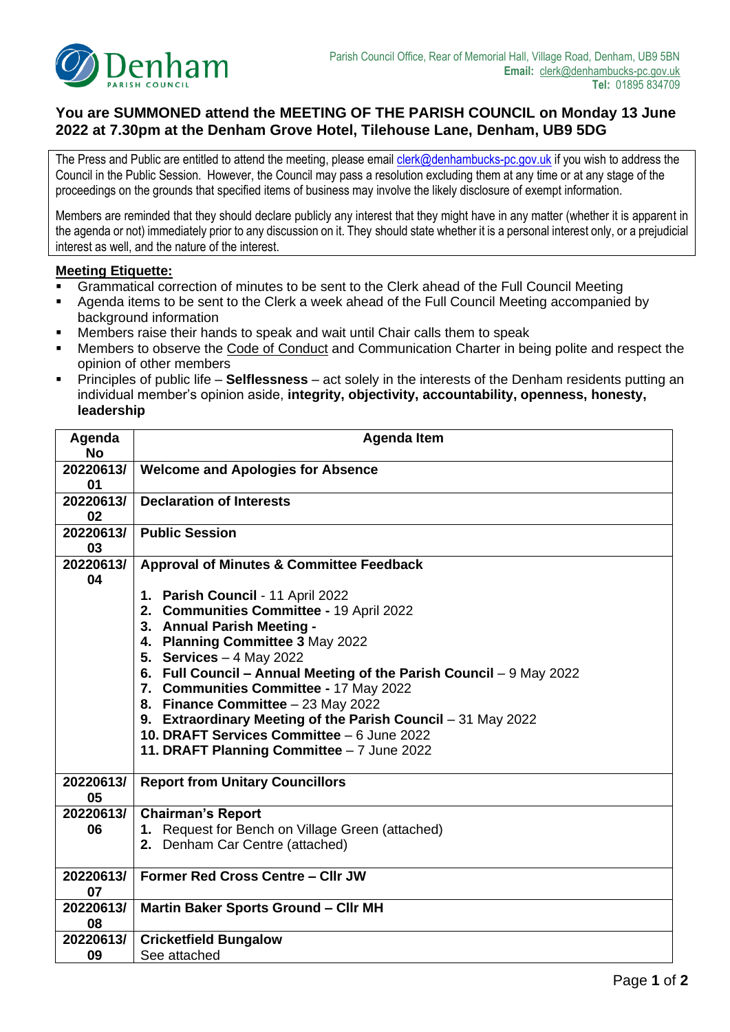

## **You are SUMMONED attend the MEETING OF THE PARISH COUNCIL on Monday 13 June 2022 at 7.30pm at the Denham Grove Hotel, Tilehouse Lane, Denham, UB9 5DG**

The Press and Public are entitled to attend the meeting, please emai[l clerk@denhambucks-pc.gov.uk](mailto:clerk@denhambucks-pc.gov.uk) if you wish to address the Council in the Public Session. However, the Council may pass a resolution excluding them at any time or at any stage of the proceedings on the grounds that specified items of business may involve the likely disclosure of exempt information.

Members are reminded that they should declare publicly any interest that they might have in any matter (whether it is apparent in the agenda or not) immediately prior to any discussion on it. They should state whether it is a personal interest only, or a prejudicial interest as well, and the nature of the interest.

## **Meeting Etiquette:**

- Grammatical correction of minutes to be sent to the Clerk ahead of the Full Council Meeting
- Agenda items to be sent to the Clerk a week ahead of the Full Council Meeting accompanied by background information
- Members raise their hands to speak and wait until Chair calls them to speak
- Members to observe the Code of Conduct and Communication Charter in being polite and respect the opinion of other members
- Principles of public life **Selflessness** act solely in the interests of the Denham residents putting an individual member's opinion aside, **integrity, objectivity, accountability, openness, honesty, leadership**

| Agenda          | <b>Agenda Item</b>                                                                                            |  |  |  |  |
|-----------------|---------------------------------------------------------------------------------------------------------------|--|--|--|--|
| <b>No</b>       |                                                                                                               |  |  |  |  |
| 20220613/       | <b>Welcome and Apologies for Absence</b>                                                                      |  |  |  |  |
| 01              |                                                                                                               |  |  |  |  |
| 20220613/       | <b>Declaration of Interests</b>                                                                               |  |  |  |  |
| 02              |                                                                                                               |  |  |  |  |
| 20220613/       | <b>Public Session</b>                                                                                         |  |  |  |  |
| 03              |                                                                                                               |  |  |  |  |
| 20220613/<br>04 | <b>Approval of Minutes &amp; Committee Feedback</b>                                                           |  |  |  |  |
|                 | 1. Parish Council - 11 April 2022                                                                             |  |  |  |  |
|                 | 2. Communities Committee - 19 April 2022                                                                      |  |  |  |  |
|                 | 3. Annual Parish Meeting -                                                                                    |  |  |  |  |
|                 | 4. Planning Committee 3 May 2022                                                                              |  |  |  |  |
|                 | 5. Services $-4$ May 2022                                                                                     |  |  |  |  |
|                 | 6. Full Council – Annual Meeting of the Parish Council – 9 May 2022<br>7. Communities Committee - 17 May 2022 |  |  |  |  |
|                 |                                                                                                               |  |  |  |  |
|                 | 8. Finance Committee - 23 May 2022                                                                            |  |  |  |  |
|                 | 9. Extraordinary Meeting of the Parish Council - 31 May 2022                                                  |  |  |  |  |
|                 | 10. DRAFT Services Committee - 6 June 2022                                                                    |  |  |  |  |
|                 | 11. DRAFT Planning Committee - 7 June 2022                                                                    |  |  |  |  |
| 20220613/       | <b>Report from Unitary Councillors</b>                                                                        |  |  |  |  |
| 05              |                                                                                                               |  |  |  |  |
| 20220613/       | <b>Chairman's Report</b>                                                                                      |  |  |  |  |
| 06              | 1. Request for Bench on Village Green (attached)                                                              |  |  |  |  |
|                 | 2. Denham Car Centre (attached)                                                                               |  |  |  |  |
|                 |                                                                                                               |  |  |  |  |
| 20220613/       | Former Red Cross Centre - Cllr JW                                                                             |  |  |  |  |
| 07              |                                                                                                               |  |  |  |  |
| 20220613/       | Martin Baker Sports Ground - Cllr MH                                                                          |  |  |  |  |
| 08              |                                                                                                               |  |  |  |  |
| 20220613/       | <b>Cricketfield Bungalow</b>                                                                                  |  |  |  |  |
| 09              | See attached                                                                                                  |  |  |  |  |